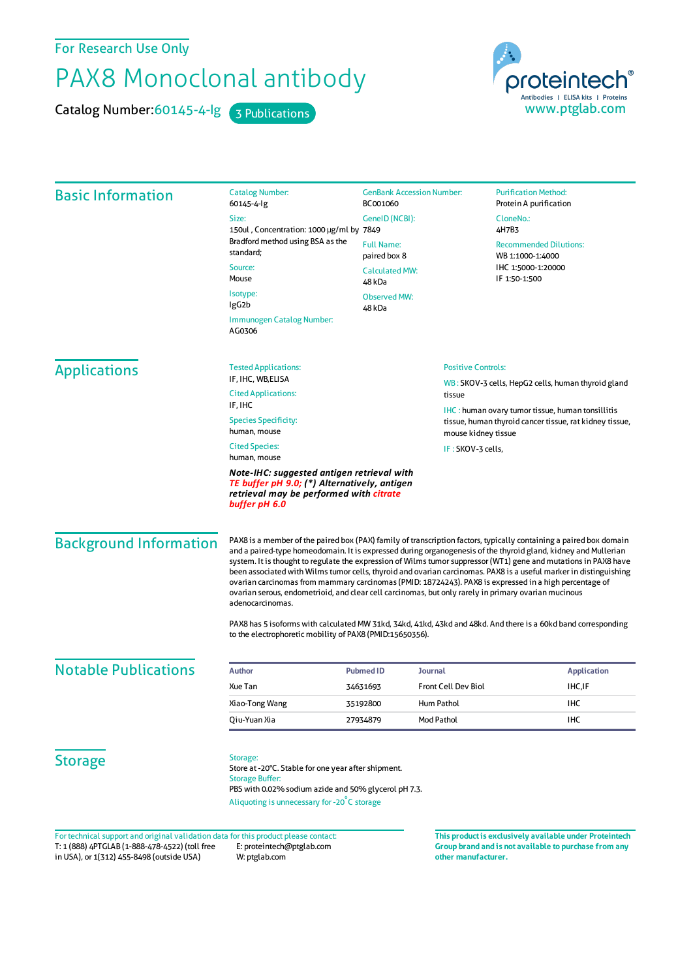For Research Use Only

## PAX8 Monoclonal antibody

Catalog Number: 60145-4-lg 3 Publications

proteintech Antibodies | ELISA kits | Proteins<br>WWW.ptglab.com

| <b>Basic Information</b>      | <b>Catalog Number:</b><br>60145-4-lg                                                                                                                                                                                                                                                                                                                                                                                                                                                                                                                                                                                                                                                                                | <b>GenBank Accession Number:</b><br>BC001060                                                                                               |                            | <b>Purification Method:</b><br>Protein A purification                                    |  |
|-------------------------------|---------------------------------------------------------------------------------------------------------------------------------------------------------------------------------------------------------------------------------------------------------------------------------------------------------------------------------------------------------------------------------------------------------------------------------------------------------------------------------------------------------------------------------------------------------------------------------------------------------------------------------------------------------------------------------------------------------------------|--------------------------------------------------------------------------------------------------------------------------------------------|----------------------------|------------------------------------------------------------------------------------------|--|
|                               | Size:<br>GenelD (NCBI):                                                                                                                                                                                                                                                                                                                                                                                                                                                                                                                                                                                                                                                                                             |                                                                                                                                            | CloneNo.:                  |                                                                                          |  |
|                               | 150ul, Concentration: 1000 µg/ml by 7849                                                                                                                                                                                                                                                                                                                                                                                                                                                                                                                                                                                                                                                                            |                                                                                                                                            | 4H7B3                      | <b>Recommended Dilutions:</b><br>WB 1:1000-1:4000<br>IHC 1:5000-1:20000<br>IF 1:50-1:500 |  |
|                               | Bradford method using BSA as the<br>standard;                                                                                                                                                                                                                                                                                                                                                                                                                                                                                                                                                                                                                                                                       | <b>Full Name:</b><br>paired box 8                                                                                                          |                            |                                                                                          |  |
|                               | Source:<br>Mouse                                                                                                                                                                                                                                                                                                                                                                                                                                                                                                                                                                                                                                                                                                    | <b>Calculated MW:</b><br>48 kDa                                                                                                            |                            |                                                                                          |  |
|                               | Isotype:<br>lgG2b                                                                                                                                                                                                                                                                                                                                                                                                                                                                                                                                                                                                                                                                                                   | <b>Observed MW:</b><br>48 kDa                                                                                                              |                            |                                                                                          |  |
|                               | Immunogen Catalog Number:<br>AG0306                                                                                                                                                                                                                                                                                                                                                                                                                                                                                                                                                                                                                                                                                 |                                                                                                                                            |                            |                                                                                          |  |
| <b>Applications</b>           | <b>Tested Applications:</b>                                                                                                                                                                                                                                                                                                                                                                                                                                                                                                                                                                                                                                                                                         |                                                                                                                                            | <b>Positive Controls:</b>  |                                                                                          |  |
|                               | IF, IHC, WB,ELISA                                                                                                                                                                                                                                                                                                                                                                                                                                                                                                                                                                                                                                                                                                   |                                                                                                                                            |                            | WB: SKOV-3 cells, HepG2 cells, human thyroid gland                                       |  |
|                               | <b>Cited Applications:</b><br>IF, IHC                                                                                                                                                                                                                                                                                                                                                                                                                                                                                                                                                                                                                                                                               | tissue                                                                                                                                     |                            |                                                                                          |  |
|                               | <b>Species Specificity:</b><br>human, mouse                                                                                                                                                                                                                                                                                                                                                                                                                                                                                                                                                                                                                                                                         | <b>IHC</b> : human ovary tumor tissue, human tonsillitis<br>tissue, human thyroid cancer tissue, rat kidney tissue,<br>mouse kidney tissue |                            |                                                                                          |  |
|                               | <b>Cited Species:</b><br>human, mouse                                                                                                                                                                                                                                                                                                                                                                                                                                                                                                                                                                                                                                                                               | IF: SKOV-3 cells,                                                                                                                          |                            |                                                                                          |  |
|                               | TE buffer pH 9.0; (*) Alternatively, antigen<br>retrieval may be performed with citrate<br>buffer pH 6.0                                                                                                                                                                                                                                                                                                                                                                                                                                                                                                                                                                                                            |                                                                                                                                            |                            |                                                                                          |  |
| <b>Background Information</b> | PAX8 is a member of the paired box (PAX) family of transcription factors, typically containing a paired box domain<br>and a paired-type homeodomain. It is expressed during organogenesis of the thyroid gland, kidney and Mullerian<br>system. It is thought to regulate the expression of Wilms tumor suppressor (WT1) gene and mutations in PAX8 have<br>been associated with Wilms tumor cells, thyroid and ovarian carcinomas. PAX8 is a useful marker in distinguishing<br>ovarian carcinomas from mammary carcinomas (PMID: 18724243). PAX8 is expressed in a high percentage of<br>ovarian serous, endometrioid, and clear cell carcinomas, but only rarely in primary ovarian mucinous<br>adenocarcinomas. |                                                                                                                                            |                            |                                                                                          |  |
|                               | PAX8 has 5 isoforms with calculated MW 31kd, 34kd, 41kd, 43kd and 48kd. And there is a 60kd band corresponding<br>to the electrophoretic mobility of PAX8 (PMID:15650356).                                                                                                                                                                                                                                                                                                                                                                                                                                                                                                                                          |                                                                                                                                            |                            |                                                                                          |  |
| <b>Notable Publications</b>   | <b>Author</b>                                                                                                                                                                                                                                                                                                                                                                                                                                                                                                                                                                                                                                                                                                       | <b>Pubmed ID</b><br><b>Journal</b>                                                                                                         |                            | <b>Application</b>                                                                       |  |
|                               | Xue Tan                                                                                                                                                                                                                                                                                                                                                                                                                                                                                                                                                                                                                                                                                                             | 34631693                                                                                                                                   | <b>Front Cell Dev Biol</b> | <b>IHC,IF</b>                                                                            |  |
|                               | Xiao-Tong Wang                                                                                                                                                                                                                                                                                                                                                                                                                                                                                                                                                                                                                                                                                                      | Hum Pathol<br>35192800                                                                                                                     |                            | <b>IHC</b>                                                                               |  |
|                               | Qiu-Yuan Xia                                                                                                                                                                                                                                                                                                                                                                                                                                                                                                                                                                                                                                                                                                        | Mod Pathol<br>27934879                                                                                                                     |                            | IHC                                                                                      |  |
| <b>Storage</b>                | Storage:<br>Store at -20°C. Stable for one year after shipment.<br><b>Storage Buffer:</b><br>PBS with 0.02% sodium azide and 50% glycerol pH 7.3.<br>Aliquoting is unnecessary for -20°C storage                                                                                                                                                                                                                                                                                                                                                                                                                                                                                                                    |                                                                                                                                            |                            |                                                                                          |  |

T: 1 (888) 4PTGLAB (1-888-478-4522) (toll free in USA), or 1(312) 455-8498 (outside USA) E: proteintech@ptglab.com W: ptglab.com Fortechnical support and original validation data forthis product please contact: **This productis exclusively available under Proteintech**

**Group brand and is not available to purchase from any other manufacturer.**